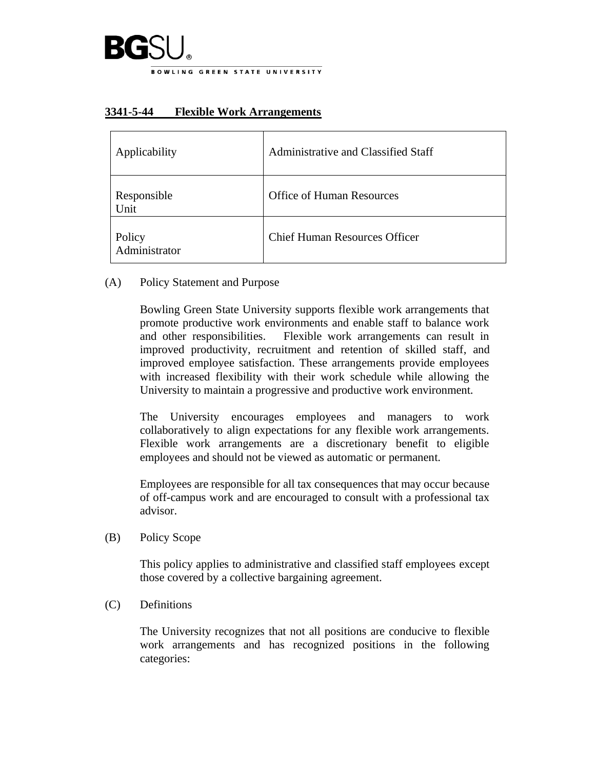

## **3341-5-44 Flexible Work Arrangements**

| Applicability           | Administrative and Classified Staff  |
|-------------------------|--------------------------------------|
| Responsible<br>Unit     | <b>Office of Human Resources</b>     |
| Policy<br>Administrator | <b>Chief Human Resources Officer</b> |

(A) Policy Statement and Purpose

Bowling Green State University supports flexible work arrangements that promote productive work environments and enable staff to balance work and other responsibilities. Flexible work arrangements can result in improved productivity, recruitment and retention of skilled staff, and improved employee satisfaction. These arrangements provide employees with increased flexibility with their work schedule while allowing the University to maintain a progressive and productive work environment.

The University encourages employees and managers to work collaboratively to align expectations for any flexible work arrangements. Flexible work arrangements are a discretionary benefit to eligible employees and should not be viewed as automatic or permanent.

Employees are responsible for all tax consequences that may occur because of off-campus work and are encouraged to consult with a professional tax advisor.

(B) Policy Scope

This policy applies to administrative and classified staff employees except those covered by a collective bargaining agreement.

(C) Definitions

The University recognizes that not all positions are conducive to flexible work arrangements and has recognized positions in the following categories: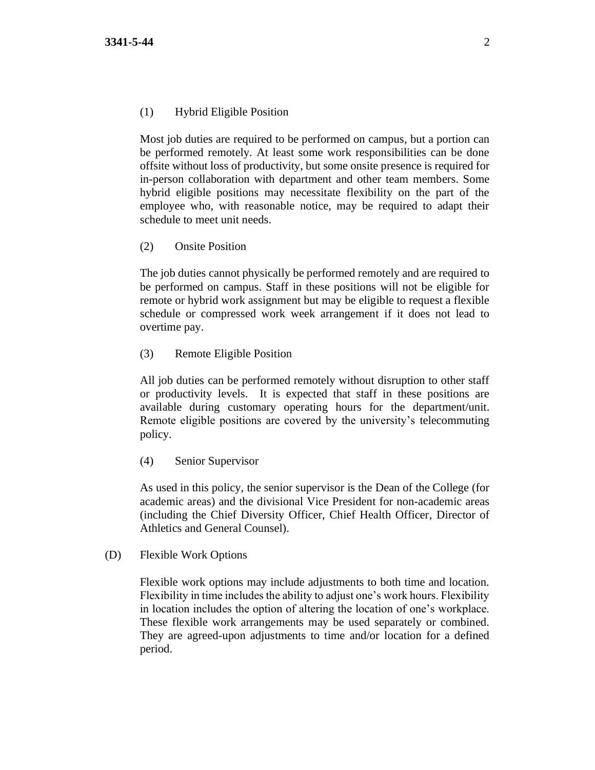## (1) Hybrid Eligible Position

Most job duties are required to be performed on campus, but a portion can be performed remotely. At least some work responsibilities can be done offsite without loss of productivity, but some onsite presence is required for in-person collaboration with department and other team members. Some hybrid eligible positions may necessitate flexibility on the part of the employee who, with reasonable notice, may be required to adapt their schedule to meet unit needs.

## (2) Onsite Position

The job duties cannot physically be performed remotely and are required to be performed on campus. Staff in these positions will not be eligible for remote or hybrid work assignment but may be eligible to request a flexible schedule or compressed work week arrangement if it does not lead to overtime pay.

(3) Remote Eligible Position

All job duties can be performed remotely without disruption to other staff or productivity levels. It is expected that staff in these positions are available during customary operating hours for the department/unit. Remote eligible positions are covered by the university's [telecommuting](https://www.bgsu.edu/content/dam/BGSU/general-counsel/documents/Telecommuting.pdf)  [policy.](https://www.bgsu.edu/content/dam/BGSU/general-counsel/documents/Telecommuting.pdf)

(4) Senior Supervisor

As used in this policy, the senior supervisor is the Dean of the College (for academic areas) and the divisional Vice President for non-academic areas (including the Chief Diversity Officer, Chief Health Officer, Director of Athletics and General Counsel).

(D) Flexible Work Options

Flexible work options may include adjustments to both time and location. Flexibility in time includes the ability to adjust one's work hours. Flexibility in location includes the option of altering the location of one's workplace. These flexible work arrangements may be used separately or combined. They are agreed-upon adjustments to time and/or location for a defined period.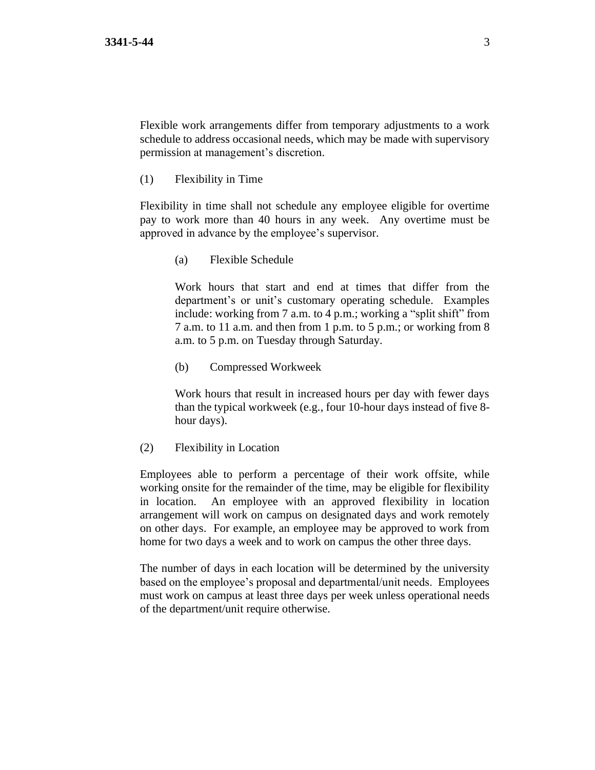Flexible work arrangements differ from temporary adjustments to a work schedule to address occasional needs, which may be made with supervisory permission at management's discretion.

(1) Flexibility in Time

Flexibility in time shall not schedule any employee eligible for overtime pay to work more than 40 hours in any week. Any overtime must be approved in advance by the employee's supervisor.

(a) Flexible Schedule

Work hours that start and end at times that differ from the department's or unit's customary operating schedule. Examples include: working from 7 a.m. to 4 p.m.; working a "split shift" from 7 a.m. to 11 a.m. and then from 1 p.m. to 5 p.m.; or working from 8 a.m. to 5 p.m. on Tuesday through Saturday.

(b) Compressed Workweek

Work hours that result in increased hours per day with fewer days than the typical workweek (e.g., four 10-hour days instead of five 8 hour days).

(2) Flexibility in Location

Employees able to perform a percentage of their work offsite, while working onsite for the remainder of the time, may be eligible for flexibility in location. An employee with an approved flexibility in location arrangement will work on campus on designated days and work remotely on other days. For example, an employee may be approved to work from home for two days a week and to work on campus the other three days.

The number of days in each location will be determined by the university based on the employee's proposal and departmental/unit needs. Employees must work on campus at least three days per week unless operational needs of the department/unit require otherwise.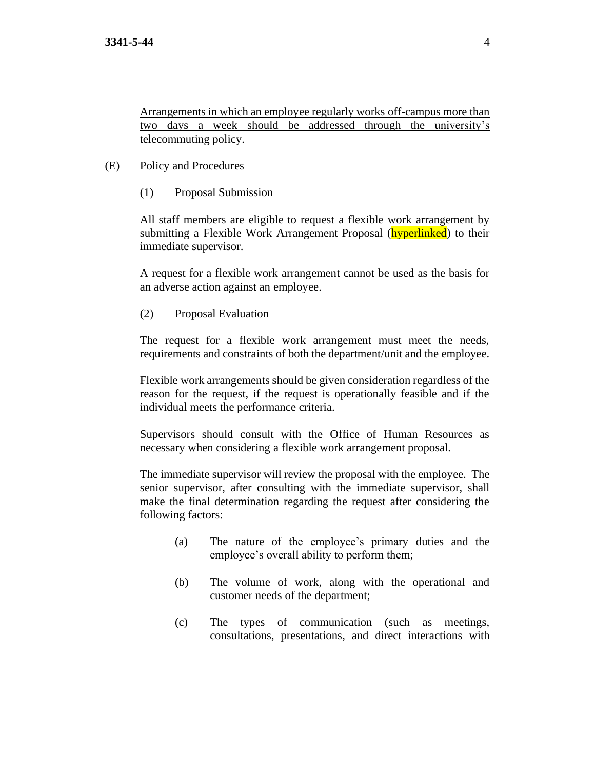Arrangements in which an employee regularly works off-campus more than two days a week should be addressed through the university's telecommuting policy.

- (E) Policy and Procedures
	- (1) Proposal Submission

All staff members are eligible to request a flexible work arrangement by submitting a Flexible Work Arrangement Proposal (**hyperlinked**) to their immediate supervisor.

A request for a flexible work arrangement cannot be used as the basis for an adverse action against an employee.

(2) Proposal Evaluation

The request for a flexible work arrangement must meet the needs, requirements and constraints of both the department/unit and the employee.

Flexible work arrangements should be given consideration regardless of the reason for the request, if the request is operationally feasible and if the individual meets the performance criteria.

Supervisors should consult with the Office of Human Resources as necessary when considering a flexible work arrangement proposal.

The immediate supervisor will review the proposal with the employee. The senior supervisor, after consulting with the immediate supervisor, shall make the final determination regarding the request after considering the following factors:

- (a) The nature of the employee's primary duties and the employee's overall ability to perform them;
- (b) The volume of work, along with the operational and customer needs of the department;
- (c) The types of communication (such as meetings, consultations, presentations, and direct interactions with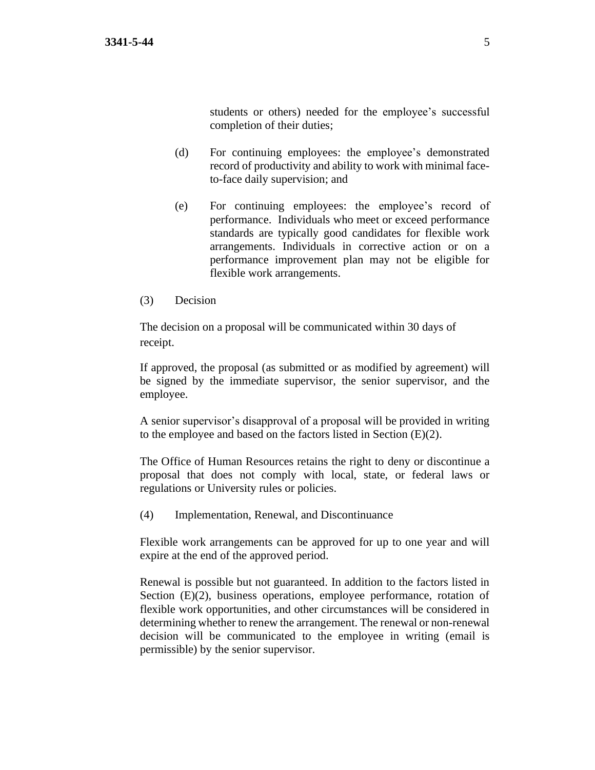students or others) needed for the employee's successful completion of their duties;

- (d) For continuing employees: the employee's demonstrated record of productivity and ability to work with minimal faceto-face daily supervision; and
- (e) For continuing employees: the employee's record of performance. Individuals who meet or exceed performance standards are typically good candidates for flexible work arrangements. Individuals in corrective action or on a performance improvement plan may not be eligible for flexible work arrangements.
- (3) Decision

The decision on a proposal will be communicated within 30 days of receipt.

If approved, the proposal (as submitted or as modified by agreement) will be signed by the immediate supervisor, the senior supervisor, and the employee.

A senior supervisor's disapproval of a proposal will be provided in writing to the employee and based on the factors listed in Section (E)(2).

The Office of Human Resources retains the right to deny or discontinue a proposal that does not comply with local, state, or federal laws or regulations or University rules or policies.

(4) Implementation, Renewal, and Discontinuance

Flexible work arrangements can be approved for up to one year and will expire at the end of the approved period.

Renewal is possible but not guaranteed. In addition to the factors listed in Section (E)(2), business operations, employee performance, rotation of flexible work opportunities, and other circumstances will be considered in determining whether to renew the arrangement. The renewal or non-renewal decision will be communicated to the employee in writing (email is permissible) by the senior supervisor.